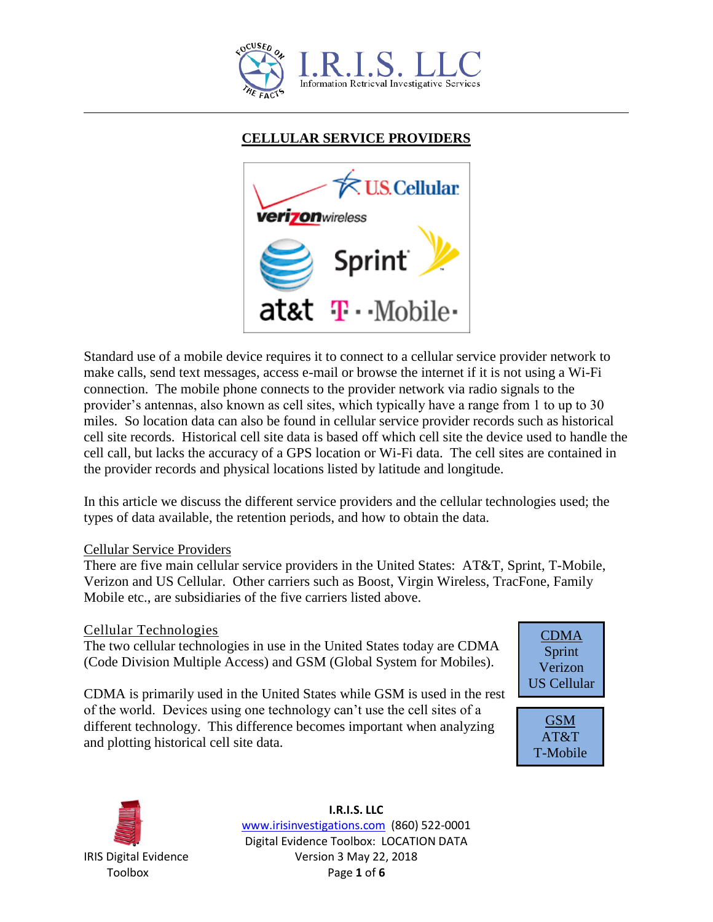

# **CELLULAR SERVICE PROVIDERS**



Standard use of a mobile device requires it to connect to a cellular service provider network to make calls, send text messages, access e-mail or browse the internet if it is not using a Wi-Fi connection. The mobile phone connects to the provider network via radio signals to the provider's antennas, also known as cell sites, which typically have a range from 1 to up to 30 miles. So location data can also be found in cellular service provider records such as historical cell site records. Historical cell site data is based off which cell site the device used to handle the cell call, but lacks the accuracy of a GPS location or Wi-Fi data. The cell sites are contained in the provider records and physical locations listed by latitude and longitude.

In this article we discuss the different service providers and the cellular technologies used; the types of data available, the retention periods, and how to obtain the data.

#### Cellular Service Providers

There are five main cellular service providers in the United States: AT&T, Sprint, T-Mobile, Verizon and US Cellular. Other carriers such as Boost, Virgin Wireless, TracFone, Family Mobile etc., are subsidiaries of the five carriers listed above.

## Cellular Technologies

The two cellular technologies in use in the United States today are CDMA (Code Division Multiple Access) and GSM (Global System for Mobiles).

CDMA is primarily used in the United States while GSM is used in the rest of the world. Devices using one technology can't use the cell sites of a different technology. This difference becomes important when analyzing and plotting historical cell site data.







**I.R.I.S. LLC** www.irisinvestigations.com (860) 522-0001 Digital Evidence Toolbox: LOCATION DATA IRIS Digital Evidence Version 3 May 22, 2018 Toolbox Page **1** of **6**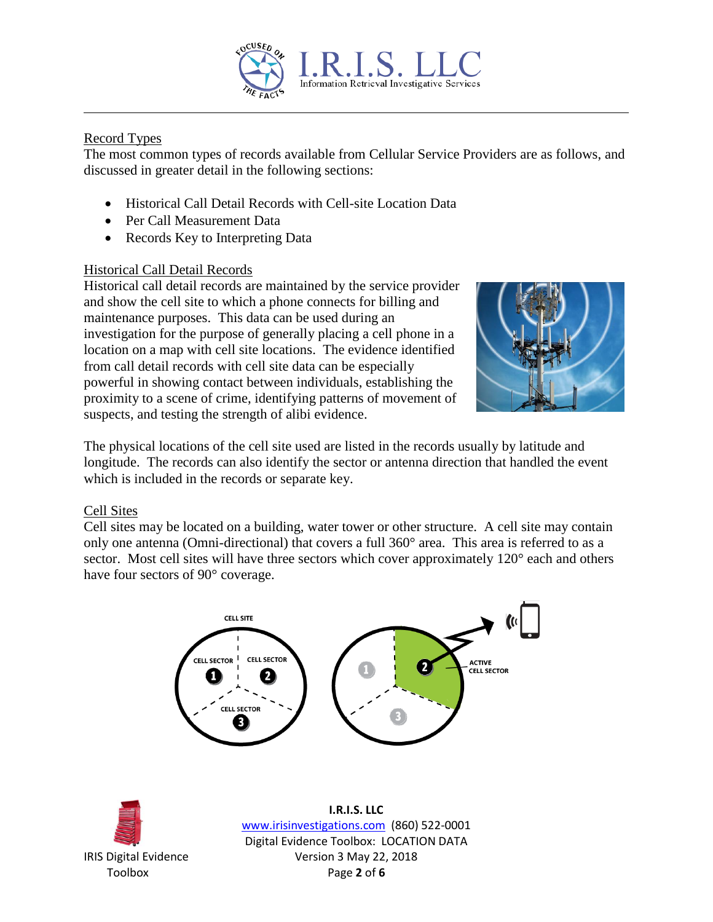

# Record Types

The most common types of records available from Cellular Service Providers are as follows, and discussed in greater detail in the following sections:

- Historical Call Detail Records with Cell-site Location Data
- Per Call Measurement Data
- Records Key to Interpreting Data

## Historical Call Detail Records

Historical call detail records are maintained by the service provider and show the cell site to which a phone connects for billing and maintenance purposes. This data can be used during an investigation for the purpose of generally placing a cell phone in a location on a map with cell site locations. The evidence identified from call detail records with cell site data can be especially powerful in showing contact between individuals, establishing the proximity to a scene of crime, identifying patterns of movement of suspects, and testing the strength of alibi evidence.



The physical locations of the cell site used are listed in the records usually by latitude and longitude. The records can also identify the sector or antenna direction that handled the event which is included in the records or separate key.

## Cell Sites

Cell sites may be located on a building, water tower or other structure. A cell site may contain only one antenna (Omni-directional) that covers a full 360° area. This area is referred to as a sector. Most cell sites will have three sectors which cover approximately 120<sup>°</sup> each and others have four sectors of 90° coverage.





**I.R.I.S. LLC** www.irisinvestigations.com (860) 522-0001 Digital Evidence Toolbox: LOCATION DATA IRIS Digital Evidence Version 3 May 22, 2018 Toolbox Page **2** of **6**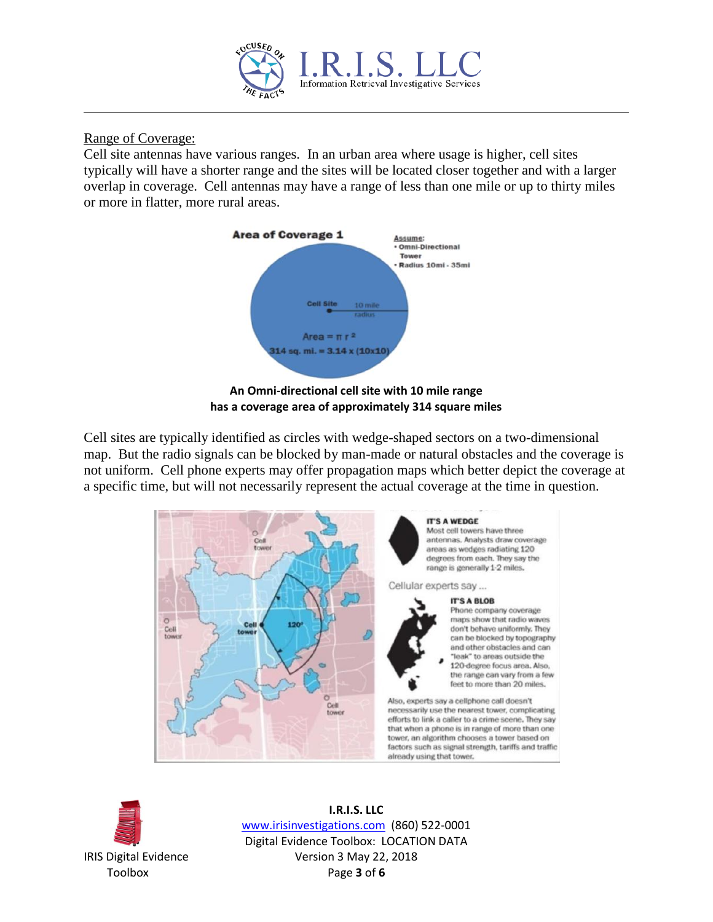

Range of Coverage:

Cell site antennas have various ranges. In an urban area where usage is higher, cell sites typically will have a shorter range and the sites will be located closer together and with a larger overlap in coverage. Cell antennas may have a range of less than one mile or up to thirty miles or more in flatter, more rural areas.





Cell sites are typically identified as circles with wedge-shaped sectors on a two-dimensional map. But the radio signals can be blocked by man-made or natural obstacles and the coverage is not uniform. Cell phone experts may offer propagation maps which better depict the coverage at a specific time, but will not necessarily represent the actual coverage at the time in question.





**I.R.I.S. LLC** www.irisinvestigations.com (860) 522-0001 Digital Evidence Toolbox: LOCATION DATA IRIS Digital Evidence Version 3 May 22, 2018 Toolbox Page **3** of **6**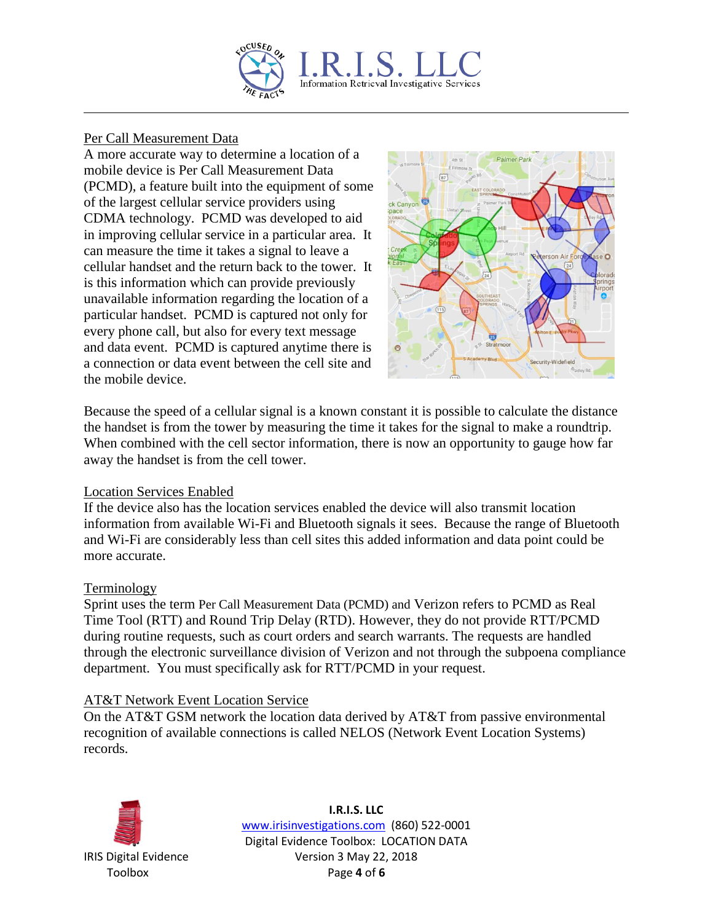

## Per Call Measurement Data

A more accurate way to determine a location of a mobile device is Per Call Measurement Data (PCMD), a feature built into the equipment of some of the largest cellular service providers using CDMA technology. PCMD was developed to aid in improving cellular service in a particular area. It can measure the time it takes a signal to leave a cellular handset and the return back to the tower. It is this information which can provide previously unavailable information regarding the location of a particular handset. PCMD is captured not only for every phone call, but also for every text message and data event. PCMD is captured anytime there is a connection or data event between the cell site and the mobile device.



Because the speed of a cellular signal is a known constant it is possible to calculate the distance the handset is from the tower by measuring the time it takes for the signal to make a roundtrip. When combined with the cell sector information, there is now an opportunity to gauge how far away the handset is from the cell tower.

#### Location Services Enabled

If the device also has the location services enabled the device will also transmit location information from available Wi-Fi and Bluetooth signals it sees. Because the range of Bluetooth and Wi-Fi are considerably less than cell sites this added information and data point could be more accurate.

#### **Terminology**

Sprint uses the term Per Call Measurement Data (PCMD) and Verizon refers to PCMD as Real Time Tool (RTT) and Round Trip Delay (RTD). However, they do not provide RTT/PCMD during routine requests, such as court orders and search warrants. The requests are handled through the electronic surveillance division of Verizon and not through the subpoena compliance department. You must specifically ask for RTT/PCMD in your request.

#### AT&T Network Event Location Service

On the AT&T GSM network the location data derived by AT&T from passive environmental recognition of available connections is called NELOS (Network Event Location Systems) records.



**I.R.I.S. LLC** www.irisinvestigations.com (860) 522-0001 Digital Evidence Toolbox: LOCATION DATA IRIS Digital Evidence Version 3 May 22, 2018 Toolbox Page **4** of **6**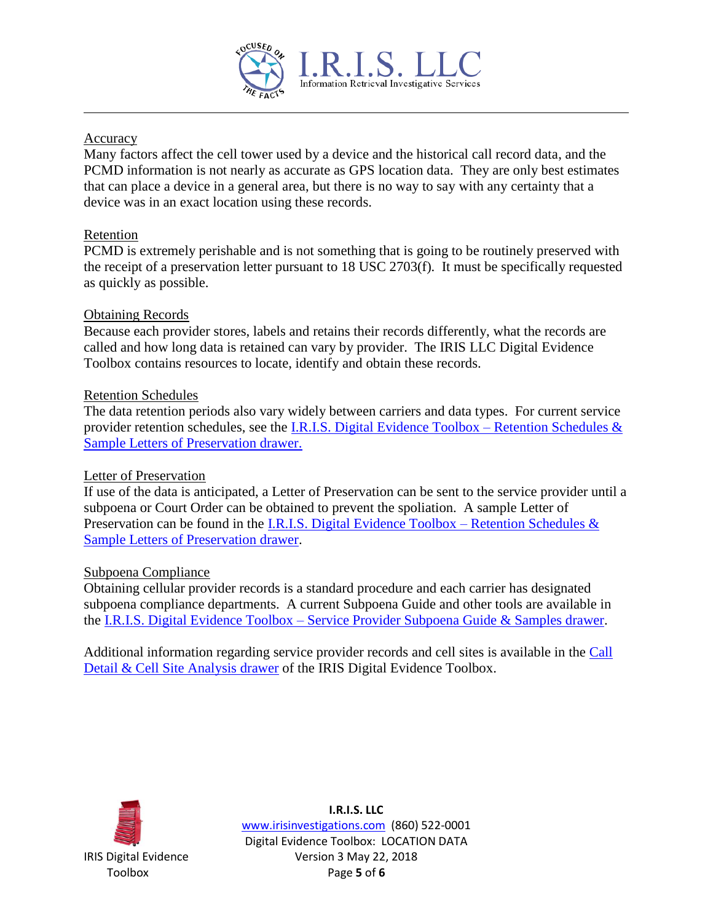

## Accuracy

Many factors affect the cell tower used by a device and the historical call record data, and the PCMD information is not nearly as accurate as GPS location data. They are only best estimates that can place a device in a general area, but there is no way to say with any certainty that a device was in an exact location using these records.

## Retention

PCMD is extremely perishable and is not something that is going to be routinely preserved with the receipt of a preservation letter pursuant to 18 USC 2703(f). It must be specifically requested as quickly as possible.

## Obtaining Records

Because each provider stores, labels and retains their records differently, what the records are called and how long data is retained can vary by provider. The IRIS LLC Digital Evidence Toolbox contains resources to locate, identify and obtain these records.

## Retention Schedules

The data retention periods also vary widely between carriers and data types. For current service provider retention schedules, see the [I.R.I.S. Digital Evidence Toolbox –](http://www.irisinvestigations.com/wordpress/digital-evidence-retention-schedules/) Retention Schedules & [Sample Letters of Preservation drawer.](http://www.irisinvestigations.com/wordpress/digital-evidence-retention-schedules/) 

#### Letter of Preservation

If use of the data is anticipated, a Letter of Preservation can be sent to the service provider until a subpoena or Court Order can be obtained to prevent the spoliation. A sample Letter of Preservation can be found in the [I.R.I.S. Digital Evidence Toolbox –](http://www.irisinvestigations.com/wordpress/digital-evidence-retention-schedules/) Retention Schedules  $\&$ Sample Letters [of Preservation drawer.](http://www.irisinvestigations.com/wordpress/digital-evidence-retention-schedules/)

#### Subpoena Compliance

Obtaining cellular provider records is a standard procedure and each carrier has designated subpoena compliance departments. A current Subpoena Guide and other tools are available in the I.R.I.S. Digital Evidence Toolbox – [Service Provider Subpoena Guide & Samples drawer.](http://www.irisinvestigations.com/wordpress/digital-evidence-subpoena-guide-and-samples/)

Additional information regarding service provider records and cell sites is available in the [Call](http://www.irisinvestigations.com/wordpress/call-detail-and-cell-site-analysis/)  [Detail & Cell Site Analysis drawer](http://www.irisinvestigations.com/wordpress/call-detail-and-cell-site-analysis/) of the IRIS Digital Evidence Toolbox.



**I.R.I.S. LLC** www.irisinvestigations.com (860) 522-0001 Digital Evidence Toolbox: LOCATION DATA IRIS Digital Evidence Version 3 May 22, 2018 Toolbox Page **5** of **6**